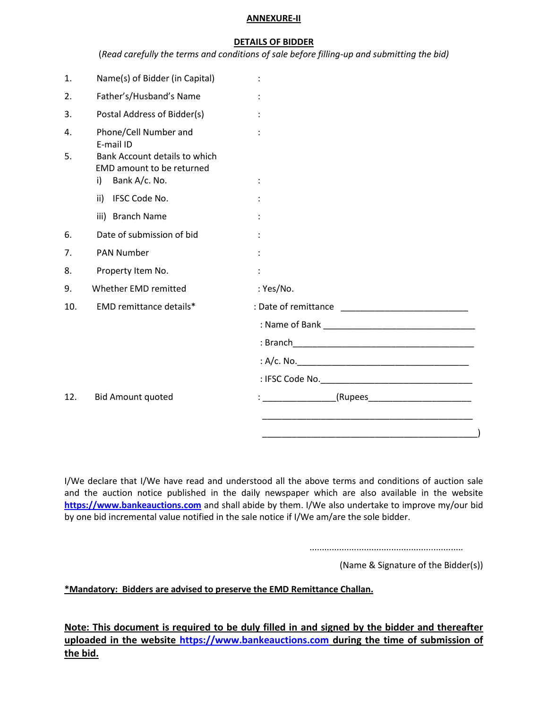#### **ANNEXURE-II**

#### **DETAILS OF BIDDER**

| (Read carefully the terms and conditions of sale before filling-up and submitting the bid) |  |  |  |  |
|--------------------------------------------------------------------------------------------|--|--|--|--|
|--------------------------------------------------------------------------------------------|--|--|--|--|

| 1.  | Name(s) of Bidder (in Capital)                                                    |                                                                                                                 |  |
|-----|-----------------------------------------------------------------------------------|-----------------------------------------------------------------------------------------------------------------|--|
| 2.  | Father's/Husband's Name                                                           |                                                                                                                 |  |
| 3.  | Postal Address of Bidder(s)                                                       |                                                                                                                 |  |
| 4.  | Phone/Cell Number and<br>E-mail ID                                                |                                                                                                                 |  |
| 5.  | Bank Account details to which<br>EMD amount to be returned<br>Bank A/c. No.<br>i) |                                                                                                                 |  |
|     | ii) IFSC Code No.                                                                 |                                                                                                                 |  |
|     | iii) Branch Name                                                                  |                                                                                                                 |  |
| 6.  | Date of submission of bid                                                         |                                                                                                                 |  |
| 7.  | <b>PAN Number</b>                                                                 |                                                                                                                 |  |
| 8.  | Property Item No.                                                                 |                                                                                                                 |  |
| 9.  | Whether EMD remitted                                                              | : Yes/No.                                                                                                       |  |
| 10. | EMD remittance details*                                                           |                                                                                                                 |  |
|     |                                                                                   |                                                                                                                 |  |
|     |                                                                                   |                                                                                                                 |  |
|     |                                                                                   |                                                                                                                 |  |
|     |                                                                                   |                                                                                                                 |  |
| 12. | <b>Bid Amount quoted</b>                                                          | $\frac{1}{2}$ . The set of $\mathbb{R}^2$ is the set of $\mathbb{R}^2$<br>_(Rupees_____________________________ |  |
|     |                                                                                   |                                                                                                                 |  |
|     |                                                                                   |                                                                                                                 |  |

I/We declare that I/We have read and understood all the above terms and conditions of auction sale and the auction notice published in the daily newspaper which are also available in the website **[https://www.bankeauctions.com](https://www.bankeauctions.com/)** and shall abide by them. I/We also undertake to improve my/our bid by one bid incremental value notified in the sale notice if I/We am/are the sole bidder.

..............................................................

(Name & Signature of the Bidder(s))

**\*Mandatory: Bidders are advised to preserve the EMD Remittance Challan.**

**Note: This document is required to be duly filled in and signed by the bidder and thereafter uploaded in the website [https://www.bankeauctions.com](https://www.bankeauctions.com/) during the time of submission of the bid.**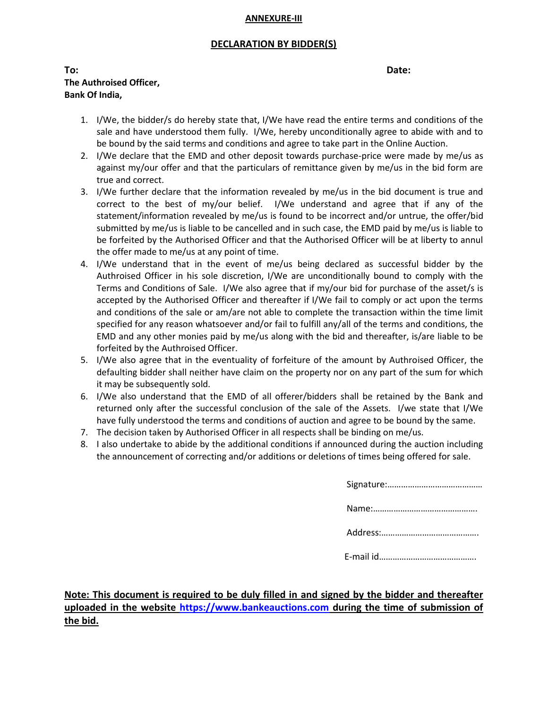#### **ANNEXURE-III**

## **DECLARATION BY BIDDER(S)**

| To:                     | Date: |
|-------------------------|-------|
| The Authroised Officer, |       |
| Bank Of India,          |       |

1. I/We, the bidder/s do hereby state that, I/We have read the entire terms and conditions of the sale and have understood them fully. I/We, hereby unconditionally agree to abide with and to be bound by the said terms and conditions and agree to take part in the Online Auction.

- 2. I/We declare that the EMD and other deposit towards purchase-price were made by me/us as against my/our offer and that the particulars of remittance given by me/us in the bid form are true and correct.
- 3. I/We further declare that the information revealed by me/us in the bid document is true and correct to the best of my/our belief. I/We understand and agree that if any of the statement/information revealed by me/us is found to be incorrect and/or untrue, the offer/bid submitted by me/us is liable to be cancelled and in such case, the EMD paid by me/us is liable to be forfeited by the Authorised Officer and that the Authorised Officer will be at liberty to annul the offer made to me/us at any point of time.
- 4. I/We understand that in the event of me/us being declared as successful bidder by the Authroised Officer in his sole discretion, I/We are unconditionally bound to comply with the Terms and Conditions of Sale. I/We also agree that if my/our bid for purchase of the asset/s is accepted by the Authorised Officer and thereafter if I/We fail to comply or act upon the terms and conditions of the sale or am/are not able to complete the transaction within the time limit specified for any reason whatsoever and/or fail to fulfill any/all of the terms and conditions, the EMD and any other monies paid by me/us along with the bid and thereafter, is/are liable to be forfeited by the Authroised Officer.
- 5. I/We also agree that in the eventuality of forfeiture of the amount by Authroised Officer, the defaulting bidder shall neither have claim on the property nor on any part of the sum for which it may be subsequently sold.
- 6. I/We also understand that the EMD of all offerer/bidders shall be retained by the Bank and returned only after the successful conclusion of the sale of the Assets. I/we state that I/We have fully understood the terms and conditions of auction and agree to be bound by the same.
- 7. The decision taken by Authorised Officer in all respects shall be binding on me/us.
- 8. I also undertake to abide by the additional conditions if announced during the auction including the announcement of correcting and/or additions or deletions of times being offered for sale.

**Note: This document is required to be duly filled in and signed by the bidder and thereafter uploaded in the website [https://www.bankeauctions.com](https://www.bankeauctions.com/) during the time of submission of the bid.**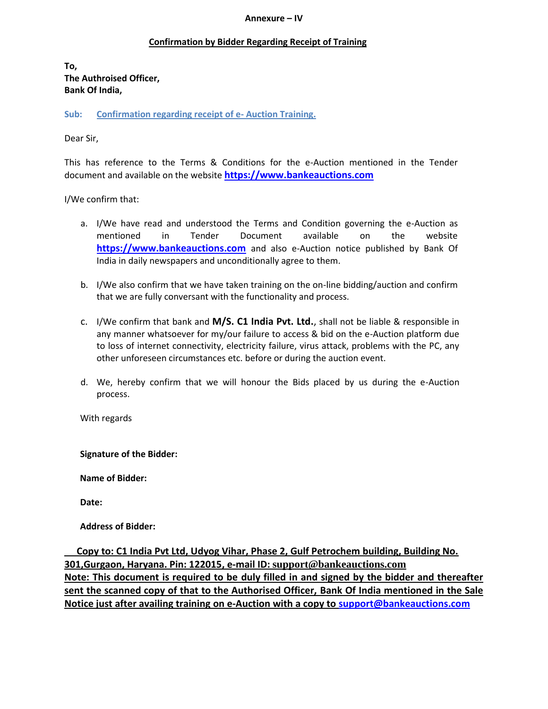#### **Annexure – IV**

## **Confirmation by Bidder Regarding Receipt of Training**

**To, The Authroised Officer, Bank Of India,**

**Sub: Confirmation regarding receipt of e- Auction Training.**

### Dear Sir,

This has reference to the Terms & Conditions for the e-Auction mentioned in the Tender document and available on the website **[https://www.bankeauctions.com](https://www.bankeauctions.com/)**

I/We confirm that:

- a. I/We have read and understood the Terms and Condition governing the e-Auction as mentioned in Tender Document available on the website [https://www.bankeauctions.com](https://www.bankeauctions.com/) and also e-Auction notice published by Bank Of India in daily newspapers and unconditionally agree to them.
- b. I/We also confirm that we have taken training on the on-line bidding/auction and confirm that we are fully conversant with the functionality and process.
- c. I/We confirm that bank and **M/S. C1 India Pvt. Ltd.**, shall not be liable & responsible in any manner whatsoever for my/our failure to access & bid on the e-Auction platform due to loss of internet connectivity, electricity failure, virus attack, problems with the PC, any other unforeseen circumstances etc. before or during the auction event.
- d. We, hereby confirm that we will honour the Bids placed by us during the e-Auction process.

With regards

**Signature of the Bidder:**

**Name of Bidder:**

**Date:**

**Address of Bidder:**

 **Copy to: C1 India Pvt Ltd, Udyog Vihar, Phase 2, Gulf Petrochem building, Building No. 301,Gurgaon, Haryana. Pin: 122015, e-mail ID: [support@bankeauctions.com](mailto:support@bankeauctions.com) Note: This document is required to be duly filled in and signed by the bidder and thereafter sent the scanned copy of that to the Authorised Officer, Bank Of India mentioned in the Sale Notice just after availing training on e-Auction with a copy to [support@bankeauctions.com](mailto:support@bankeauctions.com)**